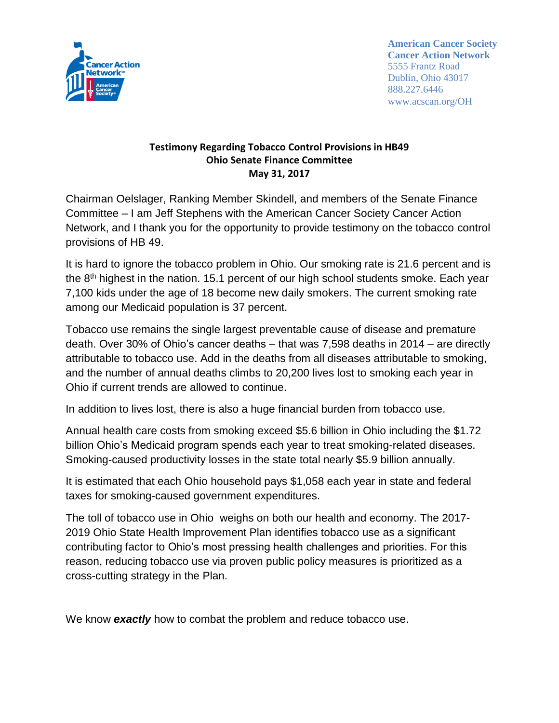

**American Cancer Society Cancer Action Network** 5555 Frantz Road Dublin, Ohio 43017 888.227.6446 www.acscan.org/OH

## **Testimony Regarding Tobacco Control Provisions in HB49 Ohio Senate Finance Committee May 31, 2017**

Chairman Oelslager, Ranking Member Skindell, and members of the Senate Finance Committee – I am Jeff Stephens with the American Cancer Society Cancer Action Network, and I thank you for the opportunity to provide testimony on the tobacco control provisions of HB 49.

It is hard to ignore the tobacco problem in Ohio. Our smoking rate is 21.6 percent and is the  $8<sup>th</sup>$  highest in the nation. 15.1 percent of our high school students smoke. Each year 7,100 kids under the age of 18 become new daily smokers. The current smoking rate among our Medicaid population is 37 percent.

Tobacco use remains the single largest preventable cause of disease and premature death. Over 30% of Ohio's cancer deaths – that was 7,598 deaths in 2014 – are directly attributable to tobacco use. Add in the deaths from all diseases attributable to smoking, and the number of annual deaths climbs to 20,200 lives lost to smoking each year in Ohio if current trends are allowed to continue.

In addition to lives lost, there is also a huge financial burden from tobacco use.

Annual health care costs from smoking exceed \$5.6 billion in Ohio including the \$1.72 billion Ohio's Medicaid program spends each year to treat smoking-related diseases. Smoking-caused productivity losses in the state total nearly \$5.9 billion annually.

It is estimated that each Ohio household pays \$1,058 each year in state and federal taxes for smoking-caused government expenditures.

The toll of tobacco use in Ohio weighs on both our health and economy. The 2017- 2019 Ohio State Health Improvement Plan identifies tobacco use as a significant contributing factor to Ohio's most pressing health challenges and priorities. For this reason, reducing tobacco use via proven public policy measures is prioritized as a cross-cutting strategy in the Plan.

We know *exactly* how to combat the problem and reduce tobacco use.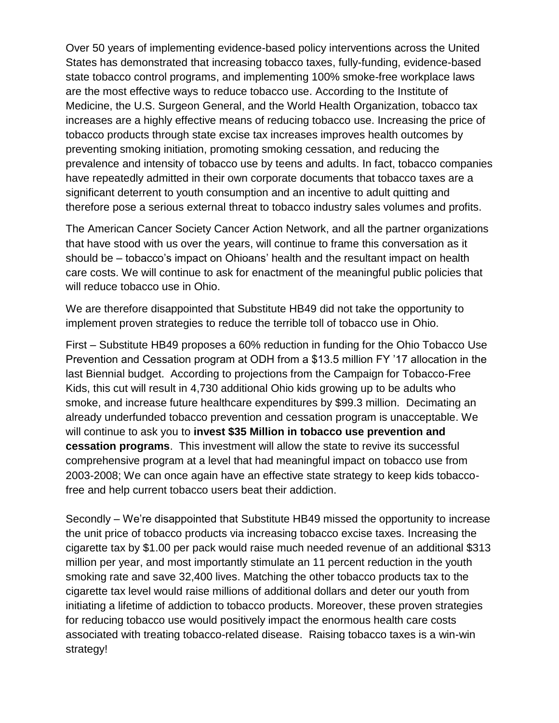Over 50 years of implementing evidence-based policy interventions across the United States has demonstrated that increasing tobacco taxes, fully-funding, evidence-based state tobacco control programs, and implementing 100% smoke-free workplace laws are the most effective ways to reduce tobacco use. According to the Institute of Medicine, the U.S. Surgeon General, and the World Health Organization, tobacco tax increases are a highly effective means of reducing tobacco use. Increasing the price of tobacco products through state excise tax increases improves health outcomes by preventing smoking initiation, promoting smoking cessation, and reducing the prevalence and intensity of tobacco use by teens and adults. In fact, tobacco companies have repeatedly admitted in their own corporate documents that tobacco taxes are a significant deterrent to youth consumption and an incentive to adult quitting and therefore pose a serious external threat to tobacco industry sales volumes and profits.

The American Cancer Society Cancer Action Network, and all the partner organizations that have stood with us over the years, will continue to frame this conversation as it should be – tobacco's impact on Ohioans' health and the resultant impact on health care costs. We will continue to ask for enactment of the meaningful public policies that will reduce tobacco use in Ohio.

We are therefore disappointed that Substitute HB49 did not take the opportunity to implement proven strategies to reduce the terrible toll of tobacco use in Ohio.

First – Substitute HB49 proposes a 60% reduction in funding for the Ohio Tobacco Use Prevention and Cessation program at ODH from a \$13.5 million FY '17 allocation in the last Biennial budget. According to projections from the Campaign for Tobacco-Free Kids, this cut will result in 4,730 additional Ohio kids growing up to be adults who smoke, and increase future healthcare expenditures by \$99.3 million. Decimating an already underfunded tobacco prevention and cessation program is unacceptable. We will continue to ask you to **invest \$35 Million in tobacco use prevention and cessation programs**. This investment will allow the state to revive its successful comprehensive program at a level that had meaningful impact on tobacco use from 2003-2008; We can once again have an effective state strategy to keep kids tobaccofree and help current tobacco users beat their addiction.

Secondly – We're disappointed that Substitute HB49 missed the opportunity to increase the unit price of tobacco products via increasing tobacco excise taxes. Increasing the cigarette tax by \$1.00 per pack would raise much needed revenue of an additional \$313 million per year, and most importantly stimulate an 11 percent reduction in the youth smoking rate and save 32,400 lives. Matching the other tobacco products tax to the cigarette tax level would raise millions of additional dollars and deter our youth from initiating a lifetime of addiction to tobacco products. Moreover, these proven strategies for reducing tobacco use would positively impact the enormous health care costs associated with treating tobacco-related disease. Raising tobacco taxes is a win-win strategy!